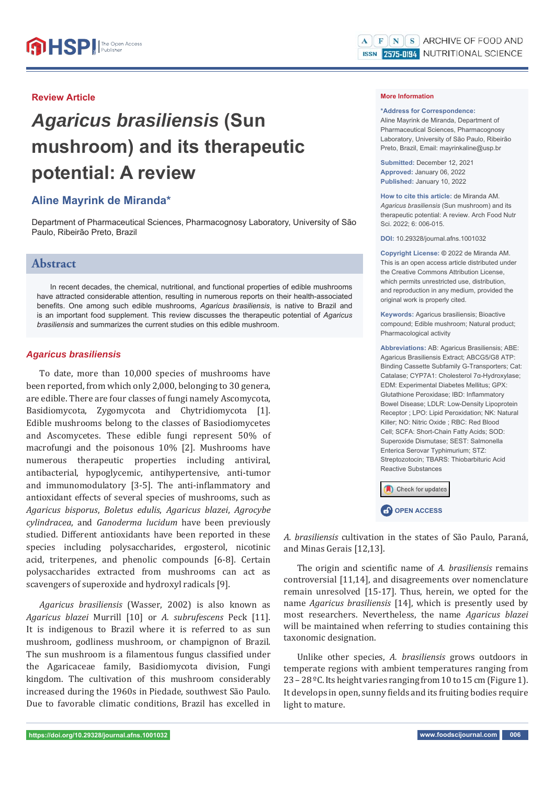## **Review Article**

# *Agaricus brasiliensis* **(Sun mushroom) and its therapeutic potential: A review**

# **Aline Mayrink de Miranda\***

Department of Pharmaceutical Sciences, Pharmacognosy Laboratory, University of São Paulo, Ribeirão Preto, Brazil

# **Abstract**

In recent decades, the chemical, nutritional, and functional properties of edible mushrooms have attracted considerable attention, resulting in numerous reports on their health-associated benefits. One among such edible mushrooms, *Agaricus brasiliensis*, is native to Brazil and is an important food supplement. This review discusses the therapeutic potential of *Agaricus brasiliensis* and summarizes the current studies on this edible mushroom.

### *Agaricus brasiliensis*

To date, more than 10,000 species of mushrooms have been reported, from which only 2,000, belonging to 30 genera, are edible. There are four classes of fungi namely Ascomycota, Basidiomycota, Zygomycota and Chytridiomycota [1]. Edible mushrooms belong to the classes of Basiodiomycetes and Ascomycetes. These edible fungi represent 50% of macrofungi and the poisonous 10% [2]. Mushrooms have numerous therapeutic properties including antiviral, antibacterial, hypoglycemic, antihypertensive, anti-tumor and immunomodulatory [3-5]. The anti-inflammatory and antioxidant effects of several species of mushrooms, such as *Agaricus bisporus*, *Boletus edulis*, *Agaricus blazei*, *Agrocybe cylindracea*, and *Ganoderma lucidum* have been previously studied. Different antioxidants have been reported in these species including polysaccharides, ergosterol, nicotinic acid, triterpenes, and phenolic compounds [6-8]. Certain polysaccharides extracted from mushrooms can act as scavengers of superoxide and hydroxyl radicals [9].

*Agaricus brasiliensis* (Wasser, 2002) is also known as *Agaricus blazei* Murrill [10] or *A. subrufescens* Peck [11]. It is indigenous to Brazil where it is referred to as sun mushroom, godliness mushroom, or champignon of Brazil. The sun mushroom is a filamentous fungus classified under the Agaricaceae family, Basidiomycota division, Fungi kingdom. The cultivation of this mushroom considerably increased during the 1960s in Piedade, southwest São Paulo. Due to favorable climatic conditions, Brazil has excelled in

#### **More Information**

#### **\*Address for Correspondence:**

Aline Mayrink de Miranda, Department of Pharmaceutical Sciences, Pharmacognosy Laboratory, University of São Paulo, Ribeirão Preto, Brazil, Email: mayrinkaline@usp.br

**Submitted:** December 12, 2021 **Approved:** January 06, 2022 **Published:** January 10, 2022

**How to cite this article:** de Miranda AM. *Agaricus brasiliensis* (Sun mushroom) and its therapeutic potential: A review. Arch Food Nutr Sci. 2022; 6: 006-015.

**DOI:** 10.29328/journal.afns.1001032

**Copyright License: ©** 2022 de Miranda AM. This is an open access article distributed under the Creative Commons Attribution License, which permits unrestricted use, distribution, and reproduction in any medium, provided the original work is properly cited.

**Keywords:** Agaricus brasiliensis; Bioactive compound; Edible mushroom; Natural product; Pharmacological activity

**Abbreviations:** AB: Agaricus Brasiliensis; ABE: Agaricus Brasiliensis Extract; ABCG5/G8 ATP: Binding Cassette Subfamily G-Transporters; Cat: Catalase; CYP7A1: Cholesterol 7α-Hydroxylase; EDM: Experimental Diabetes Mellitus; GPX: Glutathione Peroxidase; IBD: Inflammatory Bowel Disease; LDLR: Low-Density Lipoprotein Receptor ; LPO: Lipid Peroxidation; NK: Natural Killer; NO: Nitric Oxide ; RBC: Red Blood Cell; SCFA: Short-Chain Fatty Acids; SOD: Superoxide Dismutase; SEST: Salmonella Enterica Serovar Typhimurium; STZ: Streptozotocin; TBARS: Thiobarbituric Acid Reactive Substances



*A. brasiliensis* cultivation in the states of São Paulo, Paraná, and Minas Gerais [12,13].

The origin and scientific name of *A. brasiliensis* remains controversial [11,14], and disagreements over nomenclature remain unresolved [15-17]. Thus, herein, we opted for the name *Agaricus brasiliensis* [14], which is presently used by most researchers. Nevertheless, the name *Agaricus blazei* will be maintained when referring to studies containing this taxonomic designation.

Unlike other species, *A. brasiliensis* grows outdoors in temperate regions with ambient temperatures ranging from 23 – 28 ºC. Its height varies ranging from 10 to 15 cm (Figure 1). It develops in open, sunny fields and its fruiting bodies require light to mature.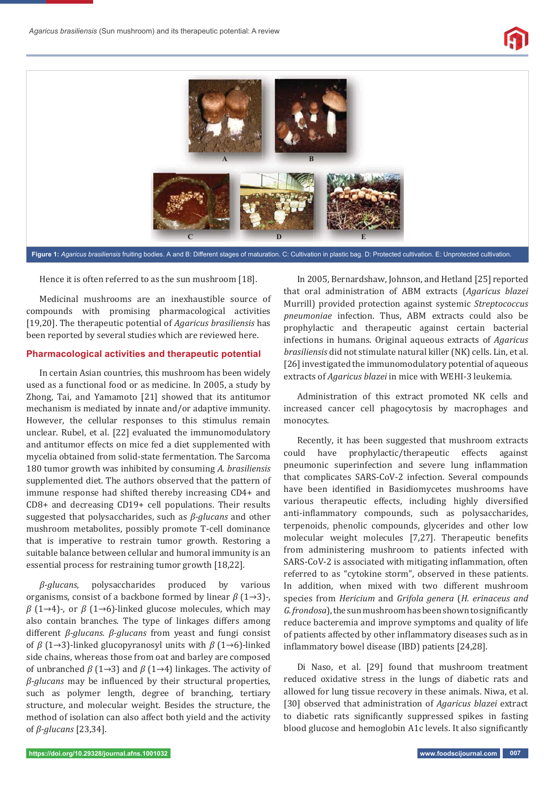



Hence it is often referred to as the sun mushroom [18].

Medicinal mushrooms are an inexhaustible source of compounds with promising pharmacological activities [19,20]. The therapeutic potential of *Agaricus brasiliensis* has been reported by several studies which are reviewed here.

## **Pharmacological activities and therapeutic potential**

In certain Asian countries, this mushroom has been widely used as a functional food or as medicine. In 2005, a study by Zhong, Tai, and Yamamoto [21] showed that its antitumor mechanism is mediated by innate and/or adaptive immunity. However, the cellular responses to this stimulus remain unclear. Rubel, et al. [22] evaluated the immunomodulatory and antitumor effects on mice fed a diet supplemented with mycelia obtained from solid-state fermentation. The Sarcoma 180 tumor growth was inhibited by consuming *A. brasiliensis* supplemented diet. The authors observed that the pattern of immune response had shifted thereby increasing CD4+ and CD8+ and decreasing CD19+ cell populations. Their results suggested that polysaccharides, such as *β-glucans* and other mushroom metabolites, possibly promote T-cell dominance that is imperative to restrain tumor growth. Restoring a suitable balance between cellular and humoral immunity is an essential process for restraining tumor growth [18,22].

*β-glucans*, polysaccharides produced by various organisms, consist of a backbone formed by linear *β* (1→3)-, *β* (1→4)-, or *β* (1→6)-linked glucose molecules, which may also contain branches. The type of linkages differs among different *β-glucans*. *β-glucans* from yeast and fungi consist of *β* (1→3)-linked glucopyranosyl units with *β* (1→6)-linked side chains, whereas those from oat and barley are composed of unbranched *β* (1→3) and *β* (1→4) linkages. The activity of *β-glucans* may be influenced by their structural properties, such as polymer length, degree of branching, tertiary structure, and molecular weight. Besides the structure, the method of isolation can also affect both yield and the activity of *β-glucans* [23,34].

In 2005, Bernardshaw, Johnson, and Hetland [25] reported that oral administration of ABM extracts (*Agaricus blazei* Murrill) provided protection against systemic *Streptococcus pneumoniae* infection. Thus, ABM extracts could also be prophylactic and therapeutic against certain bacterial infections in humans. Original aqueous extracts of *Agaricus brasiliensis* did not stimulate natural killer (NK) cells. Lin, et al. [26] investigated the immunomodulatory potential of aqueous extracts of *Agaricus blazei* in mice with WEHI-3 leukemia.

Administration of this extract promoted NK cells and increased cancer cell phagocytosis by macrophages and monocytes.

Recently, it has been suggested that mushroom extracts could have prophylactic/therapeutic effects against pneumonic superinfection and severe lung inflammation that complicates SARS-CoV-2 infection. Several compounds have been identified in Basidiomycetes mushrooms have various therapeutic effects, including highly diversified anti-inflammatory compounds, such as polysaccharides, terpenoids, phenolic compounds, glycerides and other low molecular weight molecules [7,27]. Therapeutic benefits from administering mushroom to patients infected with SARS-CoV-2 is associated with mitigating inflammation, often referred to as "cytokine storm", observed in these patients. In addition, when mixed with two different mushroom species from *Hericium* and *Grifola genera* (*H. erinaceus and G. frondosa*), the sun mushroom has been shown to significantly reduce bacteremia and improve symptoms and quality of life of patients affected by other inflammatory diseases such as in inflammatory bowel disease (IBD) patients [24,28].

Di Naso, et al. [29] found that mushroom treatment reduced oxidative stress in the lungs of diabetic rats and allowed for lung tissue recovery in these animals. Niwa, et al. [30] observed that administration of *Agaricus blazei* extract to diabetic rats significantly suppressed spikes in fasting blood glucose and hemoglobin A1c levels. It also significantly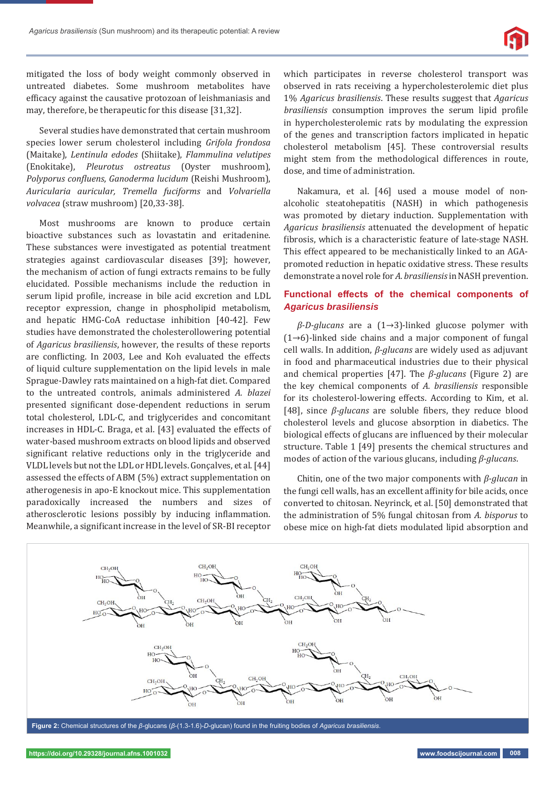

mitigated the loss of body weight commonly observed in untreated diabetes. Some mushroom metabolites have efficacy against the causative protozoan of leishmaniasis and may, therefore, be therapeutic for this disease [31,32].

Several studies have demonstrated that certain mushroom species lower serum cholesterol including *Grifola frondosa* (Maitake), *Lentinula edodes* (Shiitake), *Flammulina velutipes* (Enokitake), *Pleurotus ostreatus* (Oyster mushroom), *Polyporus conϔluens*, *Ganoderma lucidum* (Reishi Mushroom), *Auricularia auricular, Tremella fuciforms* and *Volvariella volvacea* (straw mushroom) [20,33-38].

Most mushrooms are known to produce certain bioactive substances such as lovastatin and eritadenine. These substances were investigated as potential treatment strategies against cardiovascular diseases [39]; however, the mechanism of action of fungi extracts remains to be fully elucidated. Possible mechanisms include the reduction in serum lipid profile, increase in bile acid excretion and LDL receptor expression, change in phospholipid metabolism, and hepatic HMG-CoA reductase inhibition [40-42]. Few studies have demonstrated the cholesterollowering potential of *Agaricus brasiliensis*, however, the results of these reports are conflicting. In 2003, Lee and Koh evaluated the effects of liquid culture supplementation on the lipid levels in male Sprague-Dawley rats maintained on a high-fat diet. Compared to the untreated controls, animals administered *A. blazei* presented significant dose-dependent reductions in serum total cholesterol, LDL-C, and triglycerides and concomitant increases in HDL-C. Braga, et al. [43] evaluated the effects of water-based mushroom extracts on blood lipids and observed significant relative reductions only in the triglyceride and VLDL levels but not the LDL or HDL levels. Gonçalves, et al. [44] assessed the effects of ABM (5%) extract supplementation on atherogenesis in apo-E knockout mice. This supplementation paradoxically increased the numbers and sizes of atherosclerotic lesions possibly by inducing inflammation. Meanwhile, a significant increase in the level of SR-BI receptor

which participates in reverse cholesterol transport was observed in rats receiving a hypercholesterolemic diet plus 1% *Agaricus brasiliensis*. These results suggest that *Agaricus brasiliensis* consumption improves the serum lipid profile in hypercholesterolemic rats by modulating the expression of the genes and transcription factors implicated in hepatic cholesterol metabolism [45]. These controversial results might stem from the methodological differences in route, dose, and time of administration.

Nakamura, et al. [46] used a mouse model of nonalcoholic steatohepatitis (NASH) in which pathogenesis was promoted by dietary induction. Supplementation with *Agaricus brasiliensis* attenuated the development of hepatic fibrosis, which is a characteristic feature of late-stage NASH. This effect appeared to be mechanistically linked to an AGApromoted reduction in hepatic oxidative stress. These results demonstrate a novel role for *A. brasiliensis* in NASH prevention.

## **Functional effects of the chemical components of** *Agaricus brasiliensis*

*β-D-glucans* are a (1→3)-linked glucose polymer with (1→6)-linked side chains and a major component of fungal cell walls. In addition, *β-glucans* are widely used as adjuvant in food and pharmaceutical industries due to their physical and chemical properties [47]. The *β-glucans* (Figure 2) are the key chemical components of *A. brasiliensis* responsible for its cholesterol-lowering effects. According to Kim, et al. [48], since *β-glucans* are soluble fibers, they reduce blood cholesterol levels and glucose absorption in diabetics. The biological effects of glucans are influenced by their molecular structure. Table 1 [49] presents the chemical structures and modes of action of the various glucans, including *β-glucans*.

Chitin, one of the two major components with *β-glucan* in the fungi cell walls, has an excellent affinity for bile acids, once converted to chitosan. Neyrinck, et al. [50] demonstrated that the administration of 5% fungal chitosan from *A. bisporus* to obese mice on high-fat diets modulated lipid absorption and

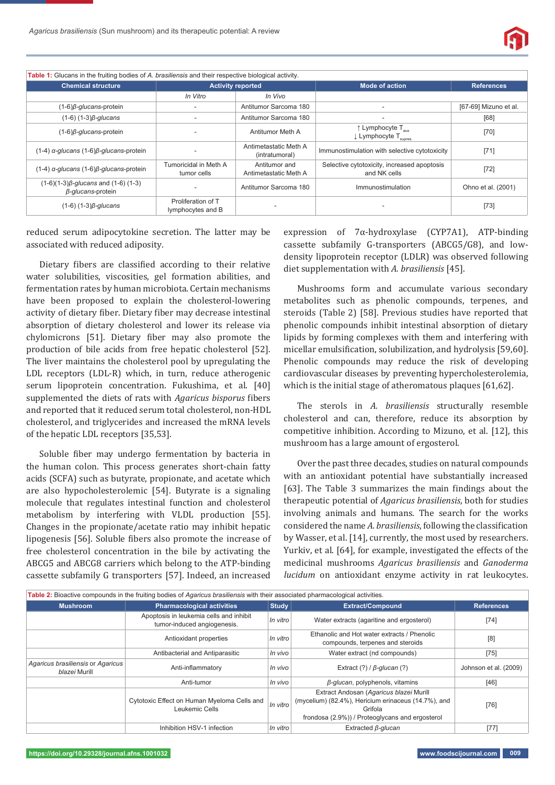

| Table 1: Glucans in the fruiting bodies of A. brasiliensis and their respective biological activity. |                                         |                                                                                                       |                                                                                        |                       |  |  |  |
|------------------------------------------------------------------------------------------------------|-----------------------------------------|-------------------------------------------------------------------------------------------------------|----------------------------------------------------------------------------------------|-----------------------|--|--|--|
| <b>Chemical structure</b>                                                                            | <b>Activity reported</b>                |                                                                                                       | <b>Mode of action</b>                                                                  | <b>References</b>     |  |  |  |
|                                                                                                      | In Vitro                                | In Vivo                                                                                               |                                                                                        |                       |  |  |  |
| $(1-6)\beta$ -glucans-protein                                                                        |                                         | Antitumor Sarcoma 180                                                                                 |                                                                                        | [67-69] Mizuno et al. |  |  |  |
| $(1-6)$ $(1-3)$ $\beta$ -glucans                                                                     |                                         | Antitumor Sarcoma 180                                                                                 | -                                                                                      | [68]                  |  |  |  |
| $(1-6)\beta$ -glucans-protein                                                                        |                                         | Antitumor Meth A                                                                                      | $\uparrow$ Lymphocyte T <sub>aux</sub><br>$\downarrow$ Lymphocyte T <sub>supres.</sub> | $[70]$                |  |  |  |
| $(1-4)$ a-glucans $(1-6)\beta$ -glucans-protein                                                      | Antimetastatic Meth A<br>(intratumoral) |                                                                                                       | Immunostimulation with selective cytotoxicity                                          | $[71]$                |  |  |  |
| $(1-4)$ a-glucans $(1-6)$ $\beta$ -glucans-protein                                                   | Tumoricidal in Meth A<br>tumor cells    | Selective cytotoxicity, increased apoptosis<br>Antitumor and<br>and NK cells<br>Antimetastatic Meth A |                                                                                        | $[72]$                |  |  |  |
| $(1-6)(1-3)\beta$ -glucans and $(1-6)(1-3)$<br>ß-glucans-protein                                     |                                         | Antitumor Sarcoma 180                                                                                 | Immunostimulation                                                                      | Ohno et al. (2001)    |  |  |  |
| $(1-6)$ $(1-3)$ $\beta$ -glucans                                                                     | Proliferation of T<br>lymphocytes and B |                                                                                                       |                                                                                        | $[73]$                |  |  |  |

reduced serum adipocytokine secretion. The latter may be associated with reduced adiposity.

Dietary fibers are classified according to their relative water solubilities, viscosities, gel formation abilities, and fermentation rates by human microbiota. Certain mechanisms have been proposed to explain the cholesterol-lowering activity of dietary fiber. Dietary fiber may decrease intestinal absorption of dietary cholesterol and lower its release via chylomicrons [51]. Dietary fiber may also promote the production of bile acids from free hepatic cholesterol [52]. The liver maintains the cholesterol pool by upregulating the LDL receptors (LDL-R) which, in turn, reduce atherogenic serum lipoprotein concentration. Fukushima, et al. [40] supplemented the diets of rats with *Agaricus bisporus* fibers and reported that it reduced serum total cholesterol, non-HDL cholesterol, and triglycerides and increased the mRNA levels of the hepatic LDL receptors [35,53].

Soluble fiber may undergo fermentation by bacteria in the human colon. This process generates short-chain fatty acids (SCFA) such as butyrate, propionate, and acetate which are also hypocholesterolemic [54]. Butyrate is a signaling molecule that regulates intestinal function and cholesterol metabolism by interfering with VLDL production [55]. Changes in the propionate/acetate ratio may inhibit hepatic lipogenesis [56]. Soluble fibers also promote the increase of free cholesterol concentration in the bile by activating the ABCG5 and ABCG8 carriers which belong to the ATP-binding cassette subfamily G transporters [57]. Indeed, an increased expression of 7α-hydroxylase (CYP7A1), ATP-binding cassette subfamily G-transporters (ABCG5/G8), and lowdensity lipoprotein receptor (LDLR) was observed following diet supplementation with *A. brasiliensis* [45].

Mushrooms form and accumulate various secondary metabolites such as phenolic compounds, terpenes, and steroids (Table 2) [58]. Previous studies have reported that phenolic compounds inhibit intestinal absorption of dietary lipids by forming complexes with them and interfering with micellar emulsification, solubilization, and hydrolysis [59,60]. Phenolic compounds may reduce the risk of developing cardiovascular diseases by preventing hypercholesterolemia, which is the initial stage of atheromatous plaques [61,62].

The sterols in *A. brasiliensis* structurally resemble cholesterol and can, therefore, reduce its absorption by competitive inhibition. According to Mizuno, et al. [12], this mushroom has a large amount of ergosterol.

Over the past three decades, studies on natural compounds with an antioxidant potential have substantially increased [63]. The Table 3 summarizes the main findings about the therapeutic potential of *Agaricus brasiliensis*, both for studies involving animals and humans. The search for the works considered the name *A. brasiliensis*, following the classification by Wasser, et al. [14], currently, the most used by researchers. Yurkiv, et al. [64], for example, investigated the effects of the medicinal mushrooms *Agaricus brasiliensis* and *Ganoderma lucidum* on antioxidant enzyme activity in rat leukocytes.

| Table 2: Bioactive compounds in the fruiting bodies of Agaricus brasiliensis with their associated pharmacological activities. |                                                                        |          |                                                                                                                                                              |                       |  |  |
|--------------------------------------------------------------------------------------------------------------------------------|------------------------------------------------------------------------|----------|--------------------------------------------------------------------------------------------------------------------------------------------------------------|-----------------------|--|--|
| <b>Mushroom</b>                                                                                                                | <b>Study</b><br><b>Pharmacological activities</b>                      |          | <b>Extract/Compound</b>                                                                                                                                      | <b>References</b>     |  |  |
|                                                                                                                                | Apoptosis in leukemia cells and inhibit<br>tumor-induced angiogenesis. | In vitro | Water extracts (agaritine and ergosterol)                                                                                                                    | $[74]$                |  |  |
|                                                                                                                                | In vitro<br>Antioxidant properties                                     |          | Ethanolic and Hot water extracts / Phenolic<br>compounds, terpenes and steroids                                                                              | [8]                   |  |  |
|                                                                                                                                | Antibacterial and Antiparasitic                                        | In vivo  | Water extract (nd compounds)                                                                                                                                 | $[75]$                |  |  |
| Agaricus brasiliensis or Agaricus<br><i>blazei</i> Murill                                                                      | Anti-inflammatory                                                      |          | Extract $(?) / \beta$ -glucan $(?)$                                                                                                                          | Johnson et al. (2009) |  |  |
|                                                                                                                                | Anti-tumor                                                             |          | $\beta$ -glucan, polyphenols, vitamins                                                                                                                       | $[46]$                |  |  |
|                                                                                                                                | Cytotoxic Effect on Human Myeloma Cells and<br>Leukemic Cells          | In vitro | Extract Andosan (Agaricus blazei Murill<br>(mycelium) (82.4%), Hericium erinaceus (14.7%), and<br>Grifola<br>frondosa (2.9%)) / Proteoglycans and ergosterol | $[76]$                |  |  |
|                                                                                                                                | Inhibition HSV-1 infection                                             | In vitro | Extracted <i>ß-glucan</i>                                                                                                                                    | [77]                  |  |  |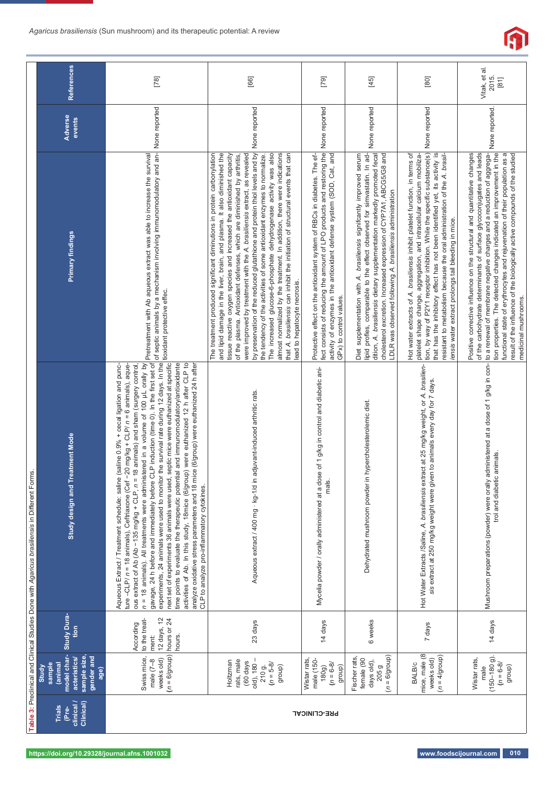

|                                                                                               | <b>References</b>                                                                              | $[78]$                                                                                                                                                                                                                                                                                                                                                                                                                                                                                                                                                                                                                                                                                                                                                                                                                                                                                                                                                                                                                                                                            | [66]                                                                                                                                                                                                                                                                                                                                                                                                                                                                                                                                                                                                                                                                                                                                                                                                          | [79]                                                                                                                                                                                                                                                                | [45]                                                                                                                                                                                                                                                                                                                                                              | [80]                                                                                                                                                                                                                                                                                                                                                                                                                                                                   | Vitak, et al.<br>2015.<br>$\begin{bmatrix} 81 \end{bmatrix}$                                                                                                                                                                                                                                                                                                                                                                                                                             |
|-----------------------------------------------------------------------------------------------|------------------------------------------------------------------------------------------------|-----------------------------------------------------------------------------------------------------------------------------------------------------------------------------------------------------------------------------------------------------------------------------------------------------------------------------------------------------------------------------------------------------------------------------------------------------------------------------------------------------------------------------------------------------------------------------------------------------------------------------------------------------------------------------------------------------------------------------------------------------------------------------------------------------------------------------------------------------------------------------------------------------------------------------------------------------------------------------------------------------------------------------------------------------------------------------------|---------------------------------------------------------------------------------------------------------------------------------------------------------------------------------------------------------------------------------------------------------------------------------------------------------------------------------------------------------------------------------------------------------------------------------------------------------------------------------------------------------------------------------------------------------------------------------------------------------------------------------------------------------------------------------------------------------------------------------------------------------------------------------------------------------------|---------------------------------------------------------------------------------------------------------------------------------------------------------------------------------------------------------------------------------------------------------------------|-------------------------------------------------------------------------------------------------------------------------------------------------------------------------------------------------------------------------------------------------------------------------------------------------------------------------------------------------------------------|------------------------------------------------------------------------------------------------------------------------------------------------------------------------------------------------------------------------------------------------------------------------------------------------------------------------------------------------------------------------------------------------------------------------------------------------------------------------|------------------------------------------------------------------------------------------------------------------------------------------------------------------------------------------------------------------------------------------------------------------------------------------------------------------------------------------------------------------------------------------------------------------------------------------------------------------------------------------|
|                                                                                               | Adverse<br>events                                                                              |                                                                                                                                                                                                                                                                                                                                                                                                                                                                                                                                                                                                                                                                                                                                                                                                                                                                                                                                                                                                                                                                                   | None reported                                                                                                                                                                                                                                                                                                                                                                                                                                                                                                                                                                                                                                                                                                                                                                                                 |                                                                                                                                                                                                                                                                     | None reported                                                                                                                                                                                                                                                                                                                                                     |                                                                                                                                                                                                                                                                                                                                                                                                                                                                        | None reported.                                                                                                                                                                                                                                                                                                                                                                                                                                                                           |
| Table 3: Preclinical and Clinical Studies Done with Agaricus brasiliensis in Different Forms. | Primary findings                                                                               |                                                                                                                                                                                                                                                                                                                                                                                                                                                                                                                                                                                                                                                                                                                                                                                                                                                                                                                                                                                                                                                                                   | and lipid damage in the liver, brain, and plasma. It also diminished the<br>by preservation of the reduced glutathione and protein thiol levels and by<br>almost normalized by the treatment. In addition, there were indications<br>The treatment produced significant diminutions in protein carbonylation<br>were improved by treatment with the A. brasiliensis extract, as revealed<br>that A. brasiliensis can inhibit the initiation of structural events that can<br>tissue reactive oxygen species and increased the antioxidant capacity<br>The increased glucose-6-phosphate dehydrogenase activity was also<br>of the plasma. Antioxidant defenses, which are diminished by arthritis,<br>the tendency of the activities of some antioxidant enzymes to normalize<br>lead to hepatocyte necrosis. | fect consists of reducing the amount of LPO products and restoring the None reported<br>activity of enzymes in the antioxidant defense system (SOD, Cat, and<br>Protective effect on the antioxidant system of RBCs in diabetes. The ef-<br>GPx) to control values. | lipid profles, comparable to the effect observed for simvastatin. In ad-<br>dition, A. brasiliensis dietary supplementation markedly promoted fecal<br>Diet supplementation with A. brasiliensis signifcantly improved serum<br>cholesterol excretion. Increased expression of CYP7A1, ABCG5/G8 and<br>LDLR was observed following A. brasiliensis administration | tion, by way of P2Y1 receptor inhibition. While the specific substance(s) None reported<br>Hot water extracts of A. brasiliensis inhibit platelet function, in terms of<br>that has the inhibitory effect has not been identified yet, its activity is<br>resistant to metabolism because the oral administration of the A. brasil-<br>platelet shape change, aggregation, and intracellular calcium mobiliza-<br>iensis water extract prolongs tail bleeding in mice. | tion properties. The detected changes indicated an improvement in the<br>Positive corrective influence on the structural and quantitative changes<br>of the carbohydrate determinants of surface glycoconjugates and leads<br>to a renewal of membrane negative charges and a reduction of aggrega-<br>functional state of erythrocytes and rejuvenation of their population as a<br>result of the influence of the biologically active compounds of the studied<br>medicinal mushrooms. |
|                                                                                               | reatment Mode<br>Study design and T                                                            | experiments, 24 animals were used to monitor the survival rate during 12 days. In the fusxidant protective effec.<br>next set of experiments 36 animals were used, septic mice were euthanized at specific fuxidant protective ef<br>n = 18 animals). All treatments were administered in a volume of 100 μL orally by <mark>pretreatment with Ab aqueous extract was able to increase the survival</mark><br>gavage, 24 h before and immediately before CLP induction (time 0).<br>time points to evaluate the therapeutic potential and immunomodulatory/antioxidante<br>activities of Ab. In this study, 18mice (6/group) were euthanized 12 h after CLP to<br>analyze oxidative stress parameters and 18 mice (6/group) were euthanized 24 h after<br>Aqueous Extract / Treatment schedule: saline (saline 0.9% + cecal ligation and punc-<br>$-20$ mg/kg + CLP/ $n = 6$ animals), aque-<br>ous extract of Ab (Ab -135 mg/kg + CLP, n = 18 animals) and sham (surgery control,<br>ture-CLP/ $n = 18$ animals), Ceftriaxone (Cef<br>CLP to analyze pro-inflammatory cytokines. | Aqueous extract / 400 mg · kg-1/d in adjuvant-induced arthritic rats.                                                                                                                                                                                                                                                                                                                                                                                                                                                                                                                                                                                                                                                                                                                                         | Mycelia powder / orally administered at a dose of 1 g/kg in control and diabetic ani-<br>mals.                                                                                                                                                                      | Dehydrated mushroom powder in hypercholesterolemic diet.                                                                                                                                                                                                                                                                                                          | Hot Water Extracts /Saline, A. brasiliensis extract at 25 mg/kg weight, or A. brasilien-<br>sis extract at 250 mg/kg weight were given to animals every day for 7 days.                                                                                                                                                                                                                                                                                                | administered at a dose of 1 g/kg in con-<br>trol and diabetic animals.<br>Mushroom preparations (powder) were orally                                                                                                                                                                                                                                                                                                                                                                     |
|                                                                                               | Study Dura-<br>tion                                                                            | 12 days, 12<br>hours or 24<br>to the treat-<br>According<br>hours.<br>ment:                                                                                                                                                                                                                                                                                                                                                                                                                                                                                                                                                                                                                                                                                                                                                                                                                                                                                                                                                                                                       | 23 days                                                                                                                                                                                                                                                                                                                                                                                                                                                                                                                                                                                                                                                                                                                                                                                                       | 14 days                                                                                                                                                                                                                                                             | 6 weeks                                                                                                                                                                                                                                                                                                                                                           | 7 days                                                                                                                                                                                                                                                                                                                                                                                                                                                                 | 14 days                                                                                                                                                                                                                                                                                                                                                                                                                                                                                  |
|                                                                                               | model char-<br>sample size,<br>gender and<br>acteristics<br>(anima)<br>sample<br>Study<br>age) | $(n = 6$ (group)<br>Swiss mice,<br>weeks old)<br>male $(7-8)$                                                                                                                                                                                                                                                                                                                                                                                                                                                                                                                                                                                                                                                                                                                                                                                                                                                                                                                                                                                                                     | Holtzman<br>rats, male<br>old), 180-<br>(60 days<br>$210 g.$<br>$(n = 5-8)$<br>group)                                                                                                                                                                                                                                                                                                                                                                                                                                                                                                                                                                                                                                                                                                                         | Wistar rats<br>male (150-<br>$(n = 6-8)$<br>group)<br>180g)                                                                                                                                                                                                         | $(n = 6/grow)$<br>Fischer rats<br>female (90<br>days old),<br>205 g                                                                                                                                                                                                                                                                                               | mice, male (8<br>$(n = 4/\text{group})$<br>weeks old)<br>BALB/c                                                                                                                                                                                                                                                                                                                                                                                                        | $(150 - 180)$ .<br>Wistar rats<br>$(n = 6-8)$<br>group)<br>male                                                                                                                                                                                                                                                                                                                                                                                                                          |
|                                                                                               | clinical/<br>Clinical)<br><b>Trials</b><br>(Pre-                                               | <b>PRE-CLINICAL</b>                                                                                                                                                                                                                                                                                                                                                                                                                                                                                                                                                                                                                                                                                                                                                                                                                                                                                                                                                                                                                                                               |                                                                                                                                                                                                                                                                                                                                                                                                                                                                                                                                                                                                                                                                                                                                                                                                               |                                                                                                                                                                                                                                                                     |                                                                                                                                                                                                                                                                                                                                                                   |                                                                                                                                                                                                                                                                                                                                                                                                                                                                        |                                                                                                                                                                                                                                                                                                                                                                                                                                                                                          |
|                                                                                               | https://doi.org/10.29328/journal.afns.1001032                                                  |                                                                                                                                                                                                                                                                                                                                                                                                                                                                                                                                                                                                                                                                                                                                                                                                                                                                                                                                                                                                                                                                                   |                                                                                                                                                                                                                                                                                                                                                                                                                                                                                                                                                                                                                                                                                                                                                                                                               |                                                                                                                                                                                                                                                                     |                                                                                                                                                                                                                                                                                                                                                                   | www.foodscijournal.com                                                                                                                                                                                                                                                                                                                                                                                                                                                 | 010                                                                                                                                                                                                                                                                                                                                                                                                                                                                                      |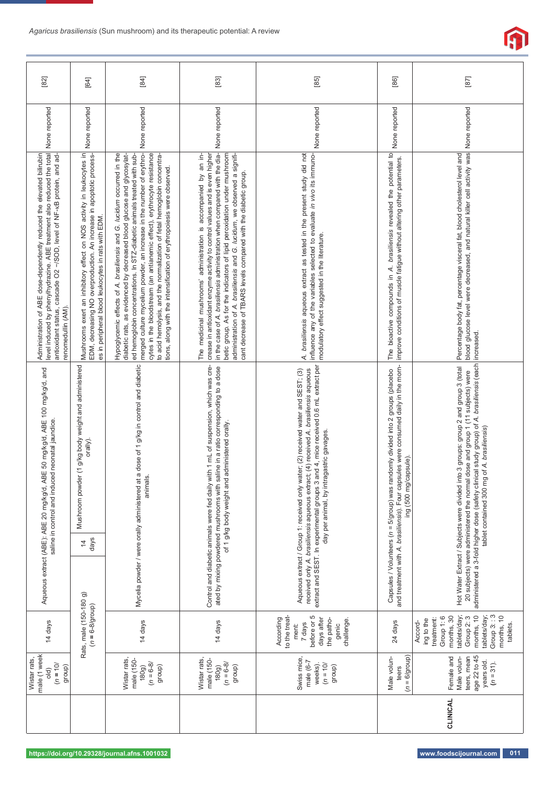|              | [82]                                                                                                                                                                                                                                          | [64]                                                                                                                                                                                                 | $[84]$                                                                                                                                                                                                                                                                                                                                                                                                                                                                                                                               | $[83]$                                                                                                                                                                                                                                                                                                                                                                                                                                                | $\begin{bmatrix} 85 \end{bmatrix}$                                                                                                                                                                  | $[86]$                                                                                                                                                                                                                                                                                                          | [87]                                                                                                                                                                              |
|--------------|-----------------------------------------------------------------------------------------------------------------------------------------------------------------------------------------------------------------------------------------------|------------------------------------------------------------------------------------------------------------------------------------------------------------------------------------------------------|--------------------------------------------------------------------------------------------------------------------------------------------------------------------------------------------------------------------------------------------------------------------------------------------------------------------------------------------------------------------------------------------------------------------------------------------------------------------------------------------------------------------------------------|-------------------------------------------------------------------------------------------------------------------------------------------------------------------------------------------------------------------------------------------------------------------------------------------------------------------------------------------------------------------------------------------------------------------------------------------------------|-----------------------------------------------------------------------------------------------------------------------------------------------------------------------------------------------------|-----------------------------------------------------------------------------------------------------------------------------------------------------------------------------------------------------------------------------------------------------------------------------------------------------------------|-----------------------------------------------------------------------------------------------------------------------------------------------------------------------------------|
|              | None reported                                                                                                                                                                                                                                 | None reported                                                                                                                                                                                        | None reported                                                                                                                                                                                                                                                                                                                                                                                                                                                                                                                        | None reported                                                                                                                                                                                                                                                                                                                                                                                                                                         | None reported                                                                                                                                                                                       | None reported                                                                                                                                                                                                                                                                                                   |                                                                                                                                                                                   |
|              | level induced by phenylhydrazine. ABE treatment also reduced the total<br>Administration of ABE dose-dependently reduced the elevated bilirubin<br>antioxidant status, cascade O2 -/SOD, level of NF-xB protein, and ad-<br>renomedullin (AM) | Mushrooms exert an inhibitory effect on NOS activity in leukocytes in<br>EDM, decreasing NO overproduction. An increase in apoptotic process-<br>es in peripheral blood leukocytes in rats with EDM. | merged culture mycelium powder, an increase in the number of erythro-<br>cytes in the bloodstream (an antianemic effect), erythrocyte resistance<br>Hypoglycemic effects of A. brasiliensis and G. lucidum occurred in the<br>ed hemoglobin concentrations. In STZ-diabetic animals treated with sub-<br>diabetic rats, as evidenced by decreased blood glucose and glycosylat-<br>to acid hemolysis, and the normalization of fetal hemoglobin concentra-<br>tions, along with the intensification of erythropolesis were observed. | in the case of A. brasiliensis administration when compared with the dia-<br>crease in antioxidant enzyme activity to control values and is even higher<br>betic group. As for the indicators of lipid peroxidation under mushroom<br>administration of A. brasiliensis and G. lucidum, we observed a signifi-<br>The medicinal mushrooms' administration is accompanied by an in-<br>cant decrease of TBARS levels compared with the diabetic group. | A. brasiliensis aqueous extract as tested in the present study did not<br>influence any of the variables selected to evaluate in vivo its immuno-<br>modulatory effect suggested in the literature. | The bioactive compounds in A. brasiliensis revealed the potential to<br>improve conditions of muscle fatigue without altering other parameters.                                                                                                                                                                 | blood glucose level were decreased, and natural killer cell activity was None reported<br>Percentage body fat, percentage visceral fat, blood cholesterol level and<br>increased. |
| Wistar rats, | Aqueous extract (ABE): ABE 20 mg/kg/d, ABE 50 mg/kg/d, ABE 100 mg/kg/d, and<br>saline in control and induced neonatal jaundice.                                                                                                               | er (1 g/kg body weight and administered<br>orally).<br>Mushroom powd<br>days<br>$\overline{4}$                                                                                                       | Mycelia powder / were orally administered at a dose of 1 g/kg in control and diabetic<br>Control and diabetic animals were fed daily with 1 mL of suspension, which was cre-<br>saline in a ratio corresponding to a dose<br>of 1 g/kg body weight and administered orally.<br>animals.<br>ated by mixing powdered mushrooms with                                                                                                                                                                                                    | and 4, mice received 0.6 mL extract per<br>received only A. brasiliensis aqueous extract; (4) received A. brasiliensis aqueous<br>Aqueous extract / Group 1: received only water; (2) received water and SEST; (3)<br>ragastric gavages<br>extract and SEST. In experimental groups 3<br>day per animal, by int                                                                                                                                       | and treatment with A. brasiliensis). Four capsules were consumed daily in the morn-<br>Capsules / Volunteers (n = 5/group) was randomly divided into 2 groups (placebo<br>ing (500 mg/capsule).     | administered a 3-fold higher dose (safety clinical study group) of A. brasiliensis (each<br>Hot Water Extract / Subjects were divided into 3 groups: group 2 and group 3 (total<br>20 subjects) were administered the normal dose and group 1 (11 subjects) were<br>tablet contained 300 mg of A. brasiliensis) |                                                                                                                                                                                   |
|              |                                                                                                                                                                                                                                               |                                                                                                                                                                                                      |                                                                                                                                                                                                                                                                                                                                                                                                                                                                                                                                      |                                                                                                                                                                                                                                                                                                                                                                                                                                                       |                                                                                                                                                                                                     |                                                                                                                                                                                                                                                                                                                 |                                                                                                                                                                                   |
|              | 14 days                                                                                                                                                                                                                                       | Rats, male (150-180 g)<br>$(n = 6-8)$ group)<br>14 days                                                                                                                                              |                                                                                                                                                                                                                                                                                                                                                                                                                                                                                                                                      | 14 days                                                                                                                                                                                                                                                                                                                                                                                                                                               | to the treat-<br>before or 5<br>According<br>days after<br>the patho-<br>challenge<br>7 days<br>genic<br>ment:                                                                                      | 24 days                                                                                                                                                                                                                                                                                                         | tablets/day;<br>Group 3:: 3<br>tablets/day;<br>months, 10<br>months, 30<br>Group 2: 3<br>months, 10<br>Group 1:6<br>treatment:<br>ing to the<br>Accord-<br>tablets.               |
|              | male (1 week<br>$(n = 10)$<br>group)<br>old)                                                                                                                                                                                                  |                                                                                                                                                                                                      | Wistar rats,<br>male (150-<br>$(n = 6-8)$<br>group)<br>180g)                                                                                                                                                                                                                                                                                                                                                                                                                                                                         | Wistar rats,<br>male (150-<br>$(180g)$<br>$(n = 6-8)$<br>group)                                                                                                                                                                                                                                                                                                                                                                                       | Swiss mice,<br>male $(6-7)$<br>$(01 = 10)$<br>weeks).<br>group)                                                                                                                                     | $(n = 6/g)$<br>Male volun-<br>teers                                                                                                                                                                                                                                                                             | age 22 to 45<br>Female and<br>teers, mean<br>Male volun-<br>years old.<br>$(n = 31)$ .                                                                                            |
|              |                                                                                                                                                                                                                                               |                                                                                                                                                                                                      |                                                                                                                                                                                                                                                                                                                                                                                                                                                                                                                                      |                                                                                                                                                                                                                                                                                                                                                                                                                                                       |                                                                                                                                                                                                     |                                                                                                                                                                                                                                                                                                                 | CLINICAL                                                                                                                                                                          |
|              |                                                                                                                                                                                                                                               |                                                                                                                                                                                                      | https://doi.org/10.29328/journal.afns.1001032                                                                                                                                                                                                                                                                                                                                                                                                                                                                                        |                                                                                                                                                                                                                                                                                                                                                                                                                                                       |                                                                                                                                                                                                     |                                                                                                                                                                                                                                                                                                                 | www.foodscijournal.com<br>011                                                                                                                                                     |

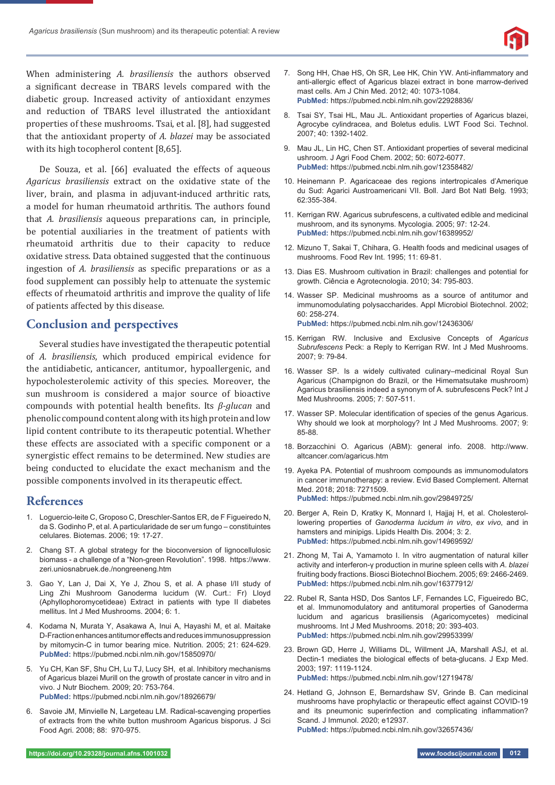

When administering *A. brasiliensis* the authors observed a significant decrease in TBARS levels compared with the diabetic group. Increased activity of antioxidant enzymes and reduction of TBARS level illustrated the antioxidant properties of these mushrooms. Tsai, et al. [8], had suggested that the antioxidant property of *A. blazei* may be associated with its high tocopherol content [8,65].

De Souza, et al. [66] evaluated the effects of aqueous *Agaricus brasiliensis* extract on the oxidative state of the liver, brain, and plasma in adjuvant-induced arthritic rats, a model for human rheumatoid arthritis. The authors found that *A. brasiliensis* aqueous preparations can, in principle, be potential auxiliaries in the treatment of patients with rheumatoid arthritis due to their capacity to reduce oxidative stress. Data obtained suggested that the continuous ingestion of *A. brasiliensis* as specific preparations or as a food supplement can possibly help to attenuate the systemic effects of rheumatoid arthritis and improve the quality of life of patients affected by this disease.

# **Conclusion and perspectives**

Several studies have investigated the therapeutic potential of *A. brasiliensis*, which produced empirical evidence for the antidiabetic, anticancer, antitumor, hypoallergenic, and hypocholesterolemic activity of this species. Moreover, the sun mushroom is considered a major source of bioactive compounds with potential health beneϐits. Its *β-glucan* and phenolic compound content along with its high protein and low lipid content contribute to its therapeutic potential. Whether these effects are associated with a specific component or a synergistic effect remains to be determined. New studies are being conducted to elucidate the exact mechanism and the possible components involved in its therapeutic effect.

# **References**

- 1. Loguercio-leite C, Groposo C, Dreschler-Santos ER, de F Figueiredo N, da S. Godinho P, et al. A particularidade de ser um fungo – constituintes celulares. Biotemas. 2006; 19: 17-27.
- 2. Chang ST. A global strategy for the bioconversion of lignocellulosic biomass - a challenge of a "Non-green Revolution". 1998. https://www. zeri.uniosnabruek.de./nongreeneng.htm
- 3. Gao Y, Lan J, Dai X, Ye J, Zhou S, et al. A phase I/II study of Ling Zhi Mushroom Ganoderma lucidum (W. Curt.: Fr) Lloyd (Aphyllophoromycetideae) Extract in patients with type II diabetes mellitus. Int J Med Mushrooms. 2004; 6: 1.
- 4. Kodama N, Murata Y, Asakawa A, Inui A, Hayashi M, et al. Maitake D-Fraction enhances antitumor effects and reduces immunosuppression by mitomycin-C in tumor bearing mice. Nutrition. 2005; 21: 624-629. **PubMed:** https://pubmed.ncbi.nlm.nih.gov/15850970/
- 5. Yu CH, Kan SF, Shu CH, Lu TJ, Lucy SH, et al. Inhibitory mechanisms of Agaricus blazei Murill on the growth of prostate cancer in vitro and in vivo. J Nutr Biochem. 2009; 20: 753-764. **PubMed:** https://pubmed.ncbi.nlm.nih.gov/18926679/
- 6. Savoie JM, Minvielle N, Largeteau LM. Radical-scavenging properties of extracts from the white button mushroom Agaricus bisporus. J Sci Food Agri. 2008; 88: 970-975.
- 7. Song HH, Chae HS, Oh SR, Lee HK, Chin YW. Anti-inflammatory and anti-allergic effect of Agaricus blazei extract in bone marrow-derived mast cells. Am J Chin Med. 2012; 40: 1073-1084. **PubMed:** https://pubmed.ncbi.nlm.nih.gov/22928836/
- 8. Tsai SY, Tsai HL, Mau JL. Antioxidant properties of Agaricus blazei, Agrocybe cylindracea, and Boletus edulis. LWT Food Sci. Technol. 2007; 40: 1392-1402.
- 9. Mau JL, Lin HC, Chen ST. Antioxidant properties of several medicinal ushroom. J Agri Food Chem. 2002; 50: 6072-6077. **PubMed:** https://pubmed.ncbi.nlm.nih.gov/12358482/
- 10. Heinemann P. Agaricaceae des regions intertropicales d'Amerique du Sud: Agarici Austroamericani VII. Boll. Jard Bot Natl Belg. 1993; 62*:*355-384.
- 11. Kerrigan RW. Agaricus subrufescens, a cultivated edible and medicinal mushroom, and its synonyms. Mycologia. 2005; 97: 12-24. **PubMed:** https://pubmed.ncbi.nlm.nih.gov/16389952/
- 12. Mizuno T, Sakai T, Chihara, G. Health foods and medicinal usages of mushrooms. Food Rev Int. 1995; 11: 69-81.
- 13. Dias ES. Mushroom cultivation in Brazil: challenges and potential for growth. Ciência e Agrotecnologia. 2010; 34: 795-803.
- 14. Wasser SP. Medicinal mushrooms as a source of antitumor and immunomodulating polysaccharides. Appl Microbiol Biotechnol. 2002; 60: 258-274. **PubMed:** https://pubmed.ncbi.nlm.nih.gov/12436306/
- 15. Kerrigan RW. Inclusive and Exclusive Concepts of *Agaricus Subrufescens* Peck: a Reply to Kerrigan RW. Int J Med Mushrooms. 2007; 9: 79-84.
- 16. Wasser SP. Is a widely cultivated culinary–medicinal Royal Sun Agaricus (Champignon do Brazil, or the Himematsutake mushroom) Agaricus brasiliensis indeed a synonym of A. subrufescens Peck? Int J Med Mushrooms. 2005; 7: 507-511.
- 17. Wasser SP. Molecular identification of species of the genus Agaricus. Why should we look at morphology? Int J Med Mushrooms. 2007; 9: 85-88.
- 18. Borzacchini O. Agaricus (ABM): general info. 2008. http://www. altcancer.com/agaricus.htm
- 19. Ayeka PA. Potential of mushroom compounds as immunomodulators in cancer immunotherapy: a review. Evid Based Complement. Alternat Med. 2018; 2018: 7271509. **PubMed:** https://pubmed.ncbi.nlm.nih.gov/29849725/
- 20. Berger A, Rein D, Kratky K, Monnard I, Hajjaj H, et al. Cholesterollowering properties of *Ganoderma lucidum in vitro*, *ex vivo*, and in hamsters and minipigs. Lipids Health Dis. 2004; 3: 2. **PubMed:** https://pubmed.ncbi.nlm.nih.gov/14969592/
- 21. Zhong M, Tai A, Yamamoto I. In vitro augmentation of natural killer activity and interferon-γ production in murine spleen cells with *A. blazei*  fruiting body fractions. Biosci Biotechnol Biochem. 2005; 69: 2466-2469. **PubMed:** https://pubmed.ncbi.nlm.nih.gov/16377912/
- 22. Rubel R, Santa HSD, Dos Santos LF, Fernandes LC, Figueiredo BC, et al. Immunomodulatory and antitumoral properties of Ganoderma lucidum and agaricus brasiliensis (Agaricomycetes) medicinal mushrooms. Int J Med Mushrooms. 2018; 20: 393-403. **PubMed:** https://pubmed.ncbi.nlm.nih.gov/29953399/
- 23. Brown GD, Herre J, Williams DL, Willment JA, Marshall ASJ, et al. Dectin-1 mediates the biological effects of beta-glucans. J Exp Med. 2003; 197: 1119-1124. **PubMed:** https://pubmed.ncbi.nlm.nih.gov/12719478/
- 24. Hetland G, Johnson E, Bernardshaw SV, Grinde B. Can medicinal mushrooms have prophylactic or therapeutic effect against COVID-19 and its pneumonic superinfection and complicating inflammation? Scand. J Immunol. 2020; e12937.

**PubMed:** https://pubmed.ncbi.nlm.nih.gov/32657436/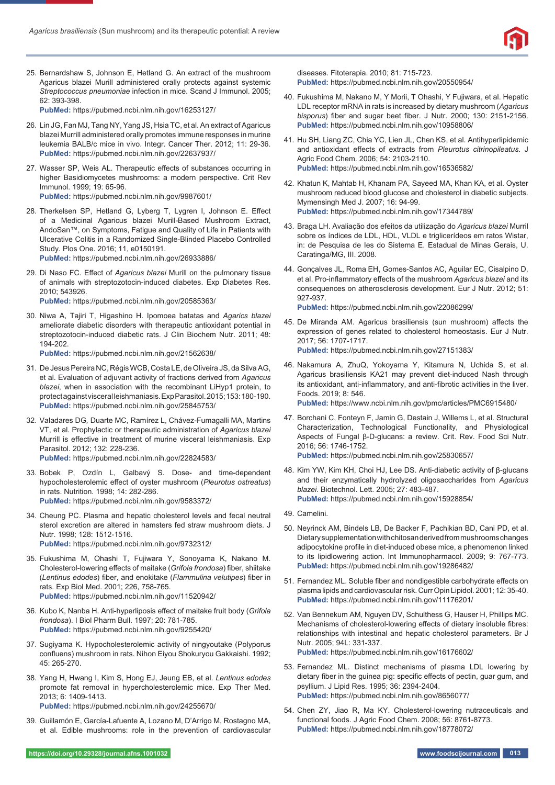

25. Bernardshaw S, Johnson E, Hetland G. An extract of the mushroom Agaricus blazei Murill administered orally protects against systemic *Streptococcus pneumoniae* infection in mice. Scand J Immunol. 2005; 62: 393-398.

**PubMed:** https://pubmed.ncbi.nlm.nih.gov/16253127/

- 26. Lin JG, Fan MJ, Tang NY, Yang JS, Hsia TC, et al. An extract of Agaricus blazei Murrill administered orally promotes immune responses in murine leukemia BALB/c mice in vivo. Integr. Cancer Ther. 2012; 11: 29-36. **PubMed:** https://pubmed.ncbi.nlm.nih.gov/22637937/
- 27. Wasser SP, Weis AL. Therapeutic effects of substances occurring in higher Basidiomycetes mushrooms: a modern perspective. Crit Rev Immunol. 1999; 19: 65-96. **PubMed:** https://pubmed.ncbi.nlm.nih.gov/9987601/
- 28. Therkelsen SP, Hetland G, Lyberg T, Lygren I, Johnson E. Effect of a Medicinal Agaricus blazei Murill-Based Mushroom Extract, AndoSan™, on Symptoms, Fatigue and Quality of Life in Patients with Ulcerative Colitis in a Randomized Single-Blinded Placebo Controlled Study. Plos One. 2016; 11, e0150191. **PubMed:** https://pubmed.ncbi.nlm.nih.gov/26933886/
- 29. Di Naso FC. Effect of *Agaricus blazei* Murill on the pulmonary tissue of animals with streptozotocin-induced diabetes. Exp Diabetes Res. 2010; 543926.

**PubMed:** https://pubmed.ncbi.nlm.nih.gov/20585363/

30. Niwa A, Tajiri T, Higashino H. Ipomoea batatas and *Agarics blazei* ameliorate diabetic disorders with therapeutic antioxidant potential in streptozotocin-induced diabetic rats. J Clin Biochem Nutr. 2011; 48: 194-202.

**PubMed:** https://pubmed.ncbi.nlm.nih.gov/21562638/

- 31. De Jesus Pereira NC, Régis WCB, Costa LE, de Oliveira JS, da Silva AG, et al. Evaluation of adjuvant activity of fractions derived from *Agaricus blazei*, when in association with the recombinant LiHyp1 protein, to protect against visceral leishmaniasis. Exp Parasitol. 2015; 153: 180-190. **PubMed:** https://pubmed.ncbi.nlm.nih.gov/25845753/
- 32. Valadares DG*,* Duarte MC, Ramírez L, Chávez-Fumagalli MA, Martins VT, et al. Prophylactic or therapeutic administration of *Agaricus blazei* Murrill is effective in treatment of murine visceral leishmaniasis. Exp Parasitol. 2012; 132: 228-236. **PubMed:** https://pubmed.ncbi.nlm.nih.gov/22824583/
- 33. Bobek P, Ozdín L, Galbavý S. Dose- and time-dependent hypocholesterolemic effect of oyster mushroom (Pleurotus ostreatus) in rats. Nutrition. 1998; 14: 282-286. **PubMed:** https://pubmed.ncbi.nlm.nih.gov/9583372/
- 34. Cheung PC. Plasma and hepatic cholesterol levels and fecal neutral sterol excretion are altered in hamsters fed straw mushroom diets. J Nutr. 1998; 128: 1512-1516. **PubMed:** https://pubmed.ncbi.nlm.nih.gov/9732312/
- 35. Fukushima M, Ohashi T, Fujiwara Y, Sonoyama K, Nakano M. Cholesterol-lowering effects of maitake (*Grifola frondosa*) fiber, shiitake (Lentinus edodes) fiber, and enokitake (Flammulina velutipes) fiber in rats. Exp Biol Med. 2001; 226, 758-765. **PubMed:** https://pubmed.ncbi.nlm.nih.gov/11520942/
- 36. Kubo K, Nanba H. Anti-hyperliposis effect of maitake fruit body (Grifola *frondosa*). I Biol Pharm Bull. 1997; 20: 781-785. **PubMed:** https://pubmed.ncbi.nlm.nih.gov/9255420/
- 37. Sugiyama K. Hypocholesterolemic activity of ningyoutake (Polyporus confluens) mushroom in rats. Nihon Eiyou Shokuryou Gakkaishi. 1992; 45: 265-270.
- 38. Yang H, Hwang I, Kim S, Hong EJ, Jeung EB, et al. *Lentinus edodes* promote fat removal in hypercholesterolemic mice. Exp Ther Med. 2013; 6: 1409-1413.

**PubMed:** https://pubmed.ncbi.nlm.nih.gov/24255670/

39. Guillamón E, García-Lafuente A, Lozano M, D'Arrigo M, Rostagno MA, et al. Edible mushrooms: role in the prevention of cardiovascular

diseases. Fitoterapia. 2010; 81: 715-723. **PubMed:** https://pubmed.ncbi.nlm.nih.gov/20550954/

- 40. Fukushima M, Nakano M, Y Morii, T Ohashi, Y Fujiwara, et al. Hepatic LDL receptor mRNA in rats is increased by dietary mushroom (*Agaricus bisporus*) fiber and sugar beet fiber. J Nutr. 2000; 130: 2151-2156. **PubMed:** https://pubmed.ncbi.nlm.nih.gov/10958806/
- 41. Hu SH, Liang ZC, Chia YC, Lien JL, Chen KS, et al. Antihyperlipidemic and antioxidant effects of extracts from *Pleurotus citrinopileatus*. J Agric Food Chem. 2006; 54: 2103-2110. **PubMed:** https://pubmed.ncbi.nlm.nih.gov/16536582/
- 42. Khatun K, Mahtab H, Khanam PA, Sayeed MA, Khan KA, et al. Oyster mushroom reduced blood glucose and cholesterol in diabetic subjects. Mymensingh Med J. 2007; 16: 94-99. **PubMed:** https://pubmed.ncbi.nlm.nih.gov/17344789/
- 43. Braga LH. Avaliação dos efeitos da utilização do *Agaricus blazei* Murril sobre os índices de LDL, HDL, VLDL e triglicerídeos em ratos Wistar, in: de Pesquisa de Ies do Sistema E. Estadual de Minas Gerais, U. Caratinga/MG, III. 2008.
- 44. Gonçalves JL, Roma EH, Gomes-Santos AC, Aguilar EC, Cisalpino D, et al. Pro-inflammatory effects of the mushroom *Agaricus blazei* and its consequences on atherosclerosis development. Eur J Nutr. 2012; 51: 927-937. **PubMed:** https://pubmed.ncbi.nlm.nih.gov/22086299/
- 45. De Miranda AM. Agaricus brasiliensis (sun mushroom) affects the expression of genes related to cholesterol homeostasis. Eur J Nutr. 2017; 56: 1707-1717. **PubMed:** https://pubmed.ncbi.nlm.nih.gov/27151383/
- 46. Nakamura A, ZhuQ, Yokoyama Y, Kitamura N, Uchida S, et al. Agaricus brasiliensis KA21 may prevent diet-induced Nash through its antioxidant, anti-inflammatory, and anti-fibrotic activities in the liver. Foods. 2019; 8: 546. **PubMed:** https://www.ncbi.nlm.nih.gov/pmc/articles/PMC6915480/
- 47. Borchani C, Fonteyn F, Jamin G, Destain J, Willems L, et al. Structural Characterization, Technological Functionality, and Physiological Aspects of Fungal β-D-glucans: a review. Crit. Rev. Food Sci Nutr. 2016; 56: 1746-1752. **PubMed:** https://pubmed.ncbi.nlm.nih.gov/25830657/
- 48. Kim YW, Kim KH, Choi HJ, Lee DS. Anti-diabetic activity of β-glucans and their enzymatically hydrolyzed oligosaccharides from *Agaricus blazei*. Biotechnol. Lett. 2005; 27: 483-487. **PubMed:** https://pubmed.ncbi.nlm.nih.gov/15928854/
- 49. Camelini.
- 50. Neyrinck AM, Bindels LB, De Backer F, Pachikian BD, Cani PD, et al. Dietary supplementation with chitosan derived from mushrooms changes adipocytokine profile in diet-induced obese mice, a phenomenon linked to its lipidlowering action. Int Immunopharmacol. 2009; 9: 767-773. **PubMed:** https://pubmed.ncbi.nlm.nih.gov/19286482/
- 51. Fernandez ML. Soluble fiber and nondigestible carbohydrate effects on plasma lipids and cardiovascular risk. Curr Opin Lipidol. 2001; 12: 35-40. **PubMed:** https://pubmed.ncbi.nlm.nih.gov/11176201/
- 52. Van Bennekum AM*,* Nguyen DV, Schulthess G, Hauser H, Phillips MC. Mechanisms of cholesterol-lowering effects of dietary insoluble fibres: relationships with intestinal and hepatic cholesterol parameters. Br J Nutr. 2005; 94L: 331-337. **PubMed:** https://pubmed.ncbi.nlm.nih.gov/16176602/
- 53. Fernandez ML. Distinct mechanisms of plasma LDL lowering by dietary fiber in the guinea pig: specific effects of pectin, guar gum, and psyllium. J Lipid Res. 1995; 36: 2394-2404. **PubMed:** https://pubmed.ncbi.nlm.nih.gov/8656077/
- 54. Chen ZY, Jiao R, Ma KY. Cholesterol-lowering nutraceuticals and functional foods. J Agric Food Chem. 2008; 56: 8761-8773. **PubMed:** https://pubmed.ncbi.nlm.nih.gov/18778072/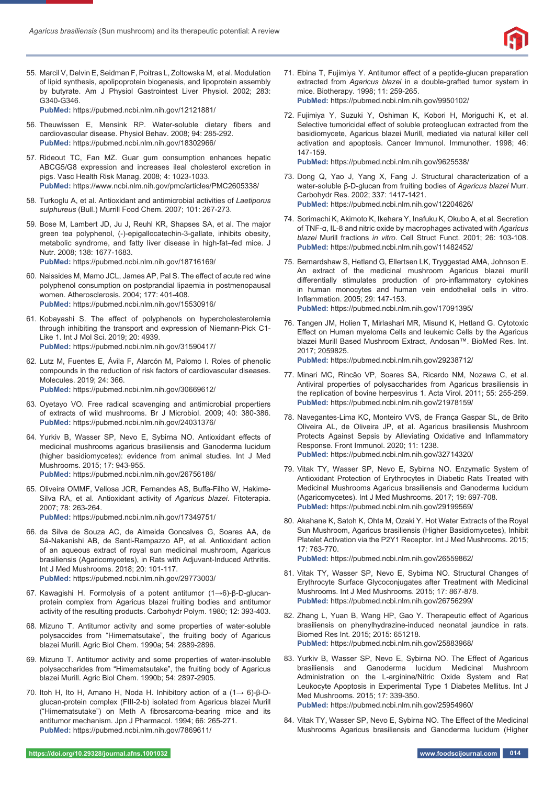

55. Marcil V, Delvin E, Seidman F, Poitras L, Zoltowska M, et al. Modulation of lipid synthesis, apolipoprotein biogenesis, and lipoprotein assembly by butyrate. Am J Physiol Gastrointest Liver Physiol. 2002; 283: G340-G346.

**PubMed:** https://pubmed.ncbi.nlm.nih.gov/12121881/

- 56. Theuwissen E, Mensink RP. Water-soluble dietary fibers and cardiovascular disease. Physiol Behav. 2008; 94: 285-292. **PubMed:** https://pubmed.ncbi.nlm.nih.gov/18302966/
- 57. Rideout TC, Fan MZ. Guar gum consumption enhances hepatic ABCG5/G8 expression and increases ileal cholesterol excretion in pigs. Vasc Health Risk Manag. 2008; 4: 1023-1033. **PubMed:** https://www.ncbi.nlm.nih.gov/pmc/articles/PMC2605338/
- 58. Turkoglu A, et al. Antioxidant and antimicrobial activities of *Laetiporus sulphureus* (Bull.) Murrill Food Chem. 2007; 101: 267-273.
- 59. Bose M, Lambert JD, Ju J, Reuhl KR, Shapses SA, et al. The major green tea polyphenol, (-)-epigallocatechin-3-gallate, inhibits obesity, metabolic syndrome, and fatty liver disease in high-fat–fed mice. J Nutr. 2008; 138: 1677-1683.

**PubMed:** https://pubmed.ncbi.nlm.nih.gov/18716169/

- 60. Naissides M, Mamo JCL, James AP, Pal S. The effect of acute red wine polyphenol consumption on postprandial lipaemia in postmenopausal women. Atherosclerosis. 2004; 177: 401-408. **PubMed:** https://pubmed.ncbi.nlm.nih.gov/15530916/
- 61. Kobayashi S. The effect of polyphenols on hypercholesterolemia through inhibiting the transport and expression of Niemann-Pick C1- Like 1. Int J Mol Sci. 2019; 20: 4939. **PubMed:** https://pubmed.ncbi.nlm.nih.gov/31590417/
- 62. Lutz M, Fuentes E, Ávila F, Alarcón M, Palomo I. Roles of phenolic compounds in the reduction of risk factors of cardiovascular diseases. Molecules. 2019; 24: 366. **PubMed:** https://pubmed.ncbi.nlm.nih.gov/30669612/
- 63. Oyetayo VO. Free radical scavenging and antimicrobial propertiers of extracts of wild mushrooms. Br J Microbiol. 2009; 40: 380-386. **PubMed:** https://pubmed.ncbi.nlm.nih.gov/24031376/
- 64. Yurkiv B, Wasser SP, Nevo E, Sybirna NO, Antioxidant effects of medicinal mushrooms agaricus brasiliensis and Ganoderma lucidum (higher basidiomycetes): evidence from animal studies. Int J Med Mushrooms. 2015; 17: 943-955. **PubMed:** https://pubmed.ncbi.nlm.nih.gov/26756186/
- 65. Oliveira OMMF, Vellosa JCR, Fernandes AS, Buffa-Filho W, Hakime-Silva RA, et al. Antioxidant activity of *Agaricus blazei*. Fitoterapia. 2007; 78: 263-264.

**PubMed:** https://pubmed.ncbi.nlm.nih.gov/17349751/

- 66. da Silva de Souza AC, de Almeida Gonсalves G, Soares AA, de Sá-Nakanishi AB, de Santi-Rampazzo AP, et al. Antioxidant action of an aqueous extract of royal sun medicinal mushroom, Agaricus brasiliensis (Agaricomycetes), in Rats with Adjuvant-Induced Arthritis. Int J Med Mushrooms. 2018; 20: 101-117. **PubMed:** https://pubmed.ncbi.nlm.nih.gov/29773003/
- 67. Kawagishi H. Formolysis of a potent antitumor (1→6)-β-D-glucanprotein complex from Agaricus blazei fruiting bodies and antitumor activity of the resulting products. Carbohydr Polym. 1980; 12: 393-403.
- 68. Mizuno T. Antitumor activity and some properties of water-soluble polysaccides from "Himematsutake", the fruiting body of Agaricus blazei Murill. Agric Biol Chem. 1990a; 54: 2889-2896.
- 69. Mizuno T. Antitumor activity and some properties of water-insoluble polysaccharides from "Himematsutake", the fruiting body of Agaricus blazei Murill. Agric Biol Chem. 1990b; 54: 2897-2905.
- 70. Itoh H, Ito H, Amano H, Noda H. Inhibitory action of a (1→ 6)-β-Dglucan-protein complex (FIII-2-b) isolated from Agaricus blazei Murill ("Himematsutake") on Meth A fibrosarcoma-bearing mice and its antitumor mechanism. Jpn J Pharmacol. 1994; 66: 265-271. **PubMed:** https://pubmed.ncbi.nlm.nih.gov/7869611/
- 71. Ebina T, Fujimiya Y. Antitumor effect of a peptide-glucan preparation extracted from *Agaricus blazei* in a double-grafted tumor system in mice. Biotherapy. 1998; 11: 259-265. **PubMed:** https://pubmed.ncbi.nlm.nih.gov/9950102/
- 72. Fujimiya Y, Suzuki Y, Oshiman K, Kobori H, Moriguchi K, et al. Selective tumoricidal effect of soluble proteoglucan extracted from the basidiomycete, Agaricus blazei Murill, mediated via natural killer cell activation and apoptosis. Cancer Immunol. Immunother. 1998; 46: 147-159. **PubMed:** https://pubmed.ncbi.nlm.nih.gov/9625538/

73. Dong Q, Yao J, Yang X, Fang J. Structural characterization of a

- water-soluble β-D-glucan from fruiting bodies of *Agaricus blazei* Murr. Carbohydr Res. 2002; 337: 1417-1421. **PubMed:** https://pubmed.ncbi.nlm.nih.gov/12204626/
- 74. Sorimachi K, Akimoto K, Ikehara Y, Inafuku K, Okubo A, et al. Secretion of TNF-α, IL-8 and nitric oxide by macrophages activated with *Agaricus blazei* Murill fractions *in vitro*. Cell Struct Funct. 2001; 26: 103-108. **PubMed:** https://pubmed.ncbi.nlm.nih.gov/11482452/
- 75. Bernardshaw S, Hetland G, Ellertsen LK, Tryggestad AMA, Johnson E. An extract of the medicinal mushroom Agaricus blazei murill differentially stimulates production of pro-inflammatory cytokines in human monocytes and human vein endothelial cells in vitro. Inflammation. 2005: 29: 147-153. **PubMed:** https://pubmed.ncbi.nlm.nih.gov/17091395/
- 76. Tangen JM, Holien T, Mirlashari MR, Misund K, Hetland G. Cytotoxic Effect on Human myeloma Cells and leukemic Cells by the Agaricus blazei Murill Based Mushroom Extract, Andosan™. BioMed Res. Int. 2017; 2059825.
	- **PubMed:** https://pubmed.ncbi.nlm.nih.gov/29238712/
- 77. Minari MC, Rincão VP, Soares SA, Ricardo NM, Nozawa C, et al. Antiviral properties of polysaccharides from Agaricus brasiliensis in the replication of bovine herpesvirus 1. Acta Virol. 2011; 55: 255-259. **PubMed:** https://pubmed.ncbi.nlm.nih.gov/21978159/
- 78. Navegantes-Lima KC, Monteiro VVS, de França Gaspar SL, de Brito Oliveira AL, de Oliveira JP, et al. Agaricus brasiliensis Mushroom Protects Against Sepsis by Alleviating Oxidative and Inflammatory Response. Front Immunol. 2020; 11: 1238. **PubMed:** https://pubmed.ncbi.nlm.nih.gov/32714320/
- 79. Vitak TY, Wasser SP, Nevo E, Sybirna NO. Enzymatic System of Antioxidant Protection of Erythrocytes in Diabetic Rats Treated with Medicinal Mushrooms Agaricus brasiliensis and Ganoderma lucidum (Agaricomycetes). Int J Med Mushrooms. 2017; 19: 697-708. **PubMed:** https://pubmed.ncbi.nlm.nih.gov/29199569/
- 80. Akahane K, Satoh K, Ohta M, Ozaki Y. Hot Water Extracts of the Royal Sun Mushroom, Agaricus brasiliensis (Higher Basidiomycetes), Inhibit Platelet Activation via the P2Y1 Receptor. Int J Med Mushrooms. 2015; 17: 763-770.
	- **PubMed:** https://pubmed.ncbi.nlm.nih.gov/26559862/
- 81. Vitak TY, Wasser SP, Nevo E, Sybirna NO. Structural Changes of Erythrocyte Surface Glycoconjugates after Treatment with Medicinal Mushrooms. Int J Med Mushrooms. 2015; 17: 867-878. **PubMed:** https://pubmed.ncbi.nlm.nih.gov/26756299/
- 82. Zhang L, Yuan B, Wang HP, Gao Y. Therapeutic effect of Agaricus brasiliensis on phenylhydrazine-induced neonatal jaundice in rats. Biomed Res Int. 2015; 2015: 651218. **PubMed:** https://pubmed.ncbi.nlm.nih.gov/25883968/
- 83. Yurkiv B, Wasser SP, Nevo E, Sybirna NO. The Effect of Agaricus brasiliensis and Ganoderma lucidum Medicinal Mushroom Administration on the L-arginine/Nitric Oxide System and Rat Leukocyte Apoptosis in Experimental Type 1 Diabetes Mellitus. Int J Med Mushrooms. 2015; 17: 339-350. **PubMed:** https://pubmed.ncbi.nlm.nih.gov/25954960/
- 84. Vitak TY, Wasser SP, Nevo E, Sybirna NO. The Effect of the Medicinal Mushrooms Agaricus brasiliensis and Ganoderma lucidum (Higher